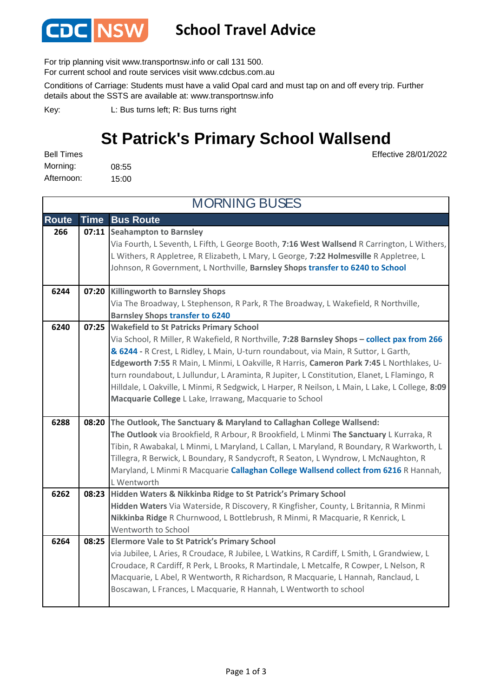

## **School Travel Advice**

For trip planning visit www.transportnsw.info or call 131 500.

For current school and route services visit www.cdcbus.com.au

Conditions of Carriage: Students must have a valid Opal card and must tap on and off every trip. Further details about the SSTS are available at: www.transportnsw.info

L: Bus turns left; R: Bus turns right Key:

## **St Patrick's Primary School Wallsend**

Effective 28/01/2022

08:55 15:00 Morning: Bell Times Afternoon:

| <b>MORNING BUSES</b> |             |                                                                                                                                                                                                                                                                                                                                                                                                                                                                                                                                                                                              |
|----------------------|-------------|----------------------------------------------------------------------------------------------------------------------------------------------------------------------------------------------------------------------------------------------------------------------------------------------------------------------------------------------------------------------------------------------------------------------------------------------------------------------------------------------------------------------------------------------------------------------------------------------|
| <b>Route</b>         | <b>Time</b> | <b>Bus Route</b>                                                                                                                                                                                                                                                                                                                                                                                                                                                                                                                                                                             |
| 266                  |             | 07:11 Seahampton to Barnsley<br>Via Fourth, L Seventh, L Fifth, L George Booth, 7:16 West Wallsend R Carrington, L Withers,<br>L Withers, R Appletree, R Elizabeth, L Mary, L George, 7:22 Holmesville R Appletree, L<br>Johnson, R Government, L Northville, Barnsley Shops transfer to 6240 to School                                                                                                                                                                                                                                                                                      |
| 6244                 | 07:20       | <b>Killingworth to Barnsley Shops</b><br>Via The Broadway, L Stephenson, R Park, R The Broadway, L Wakefield, R Northville,<br><b>Barnsley Shops transfer to 6240</b>                                                                                                                                                                                                                                                                                                                                                                                                                        |
| 6240                 | 07:25       | <b>Wakefield to St Patricks Primary School</b><br>Via School, R Miller, R Wakefield, R Northville, 7:28 Barnsley Shops - collect pax from 266<br>& 6244 - R Crest, L Ridley, L Main, U-turn roundabout, via Main, R Suttor, L Garth,<br>Edgeworth 7:55 R Main, L Minmi, L Oakville, R Harris, Cameron Park 7:45 L Northlakes, U-<br>turn roundabout, L Jullundur, L Araminta, R Jupiter, L Constitution, Elanet, L Flamingo, R<br>Hilldale, L Oakville, L Minmi, R Sedgwick, L Harper, R Neilson, L Main, L Lake, L College, 8:09<br>Macquarie College L Lake, Irrawang, Macquarie to School |
| 6288                 | 08:20       | The Outlook, The Sanctuary & Maryland to Callaghan College Wallsend:<br>The Outlook via Brookfield, R Arbour, R Brookfield, L Minmi The Sanctuary L Kurraka, R<br>Tibin, R Awabakal, L Minmi, L Maryland, L Callan, L Maryland, R Boundary, R Warkworth, L<br>Tillegra, R Berwick, L Boundary, R Sandycroft, R Seaton, L Wyndrow, L McNaughton, R<br>Maryland, L Minmi R Macquarie Callaghan College Wallsend collect from 6216 R Hannah,<br>L Wentworth                                                                                                                                     |
| 6262                 | 08:23       | Hidden Waters & Nikkinba Ridge to St Patrick's Primary School<br>Hidden Waters Via Waterside, R Discovery, R Kingfisher, County, L Britannia, R Minmi<br>Nikkinba Ridge R Churnwood, L Bottlebrush, R Minmi, R Macquarie, R Kenrick, L<br>Wentworth to School                                                                                                                                                                                                                                                                                                                                |
| 6264                 | 08:25       | <b>Elermore Vale to St Patrick's Primary School</b><br>via Jubilee, L Aries, R Croudace, R Jubilee, L Watkins, R Cardiff, L Smith, L Grandwiew, L<br>Croudace, R Cardiff, R Perk, L Brooks, R Martindale, L Metcalfe, R Cowper, L Nelson, R<br>Macquarie, L Abel, R Wentworth, R Richardson, R Macquarie, L Hannah, Ranclaud, L<br>Boscawan, L Frances, L Macquarie, R Hannah, L Wentworth to school                                                                                                                                                                                         |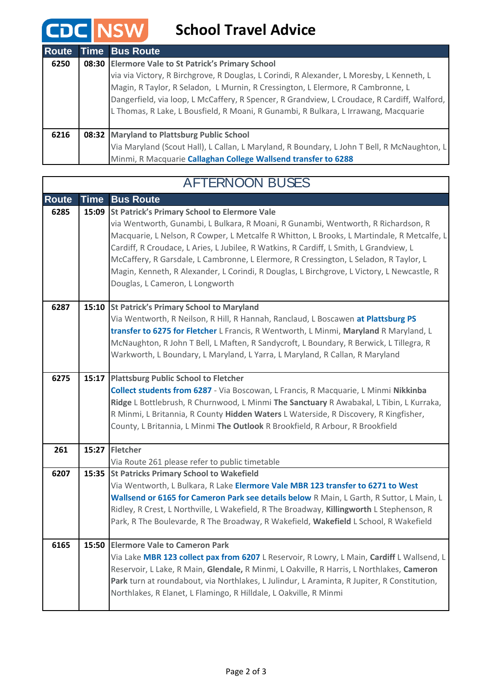## **CDC NSW** School Travel Advice

| Route | <b>Time Bus Route</b>                                                                       |
|-------|---------------------------------------------------------------------------------------------|
| 6250  | 08:30 Elermore Vale to St Patrick's Primary School                                          |
|       | via via Victory, R Birchgrove, R Douglas, L Corindi, R Alexander, L Moresby, L Kenneth, L   |
|       | Magin, R Taylor, R Seladon, L Murnin, R Cressington, L Elermore, R Cambronne, L             |
|       | Dangerfield, via loop, L McCaffery, R Spencer, R Grandview, L Croudace, R Cardiff, Walford, |
|       | L Thomas, R Lake, L Bousfield, R Moani, R Gunambi, R Bulkara, L Irrawang, Macquarie         |
|       |                                                                                             |
| 6216  | 08:32 Maryland to Plattsburg Public School                                                  |
|       | Via Maryland (Scout Hall), L Callan, L Maryland, R Boundary, L John T Bell, R McNaughton, L |
|       | Minmi, R Macquarie Callaghan College Wallsend transfer to 6288                              |

## **Route Time Bus Route 6285** | 15:09 | St Patrick's Primary School to Elermore Vale via Wentworth, Gunambi, L Bulkara, R Moani, R Gunambi, Wentworth, R Richardson, R Macquarie, L Nelson, R Cowper, L Metcalfe R Whitton, L Brooks, L Martindale, R Metcalfe, L Cardiff, R Croudace, L Aries, L Jubilee, R Watkins, R Cardiff, L Smith, L Grandview, L McCaffery, R Garsdale, L Cambronne, L Elermore, R Cressington, L Seladon, R Taylor, L Magin, Kenneth, R Alexander, L Corindi, R Douglas, L Birchgrove, L Victory, L Newcastle, R Douglas, L Cameron, L Longworth **St Patrick's Primary School to Maryland 6287 15:10** Via Wentworth, R Neilson, R Hill, R Hannah, Ranclaud, L Boscawen **at Plattsburg PS transfer to 6275 for Fletcher** L Francis, R Wentworth, L Minmi, **Maryland** R Maryland, L McNaughton, R John T Bell, L Maften, R Sandycroft, L Boundary, R Berwick, L Tillegra, R Warkworth, L Boundary, L Maryland, L Yarra, L Maryland, R Callan, R Maryland **6275** | 15:17 | Plattsburg Public School to Fletcher **Collect students from 6287** - Via Boscowan, L Francis, R Macquarie, L Minmi **Nikkinba Ridge** L Bottlebrush, R Churnwood, L Minmi **The Sanctuary** R Awabakal, L Tibin, L Kurraka, R Minmi, L Britannia, R County **Hidden Waters** L Waterside, R Discovery, R Kingfisher, County, L Britannia, L Minmi **The Outlook** R Brookfield, R Arbour, R Brookfield **Fletcher 261 15:27** Via Route 261 please refer to public timetable **St Patricks Primary School to Wakefield 6207 15:35** Via Wentworth, L Bulkara, R Lake **Elermore Vale MBR 123 transfer to 6271 to West Wallsend or 6165 for Cameron Park see details below** R Main, L Garth, R Suttor, L Main, L Ridley, R Crest, L Northville, L Wakefield, R The Broadway, **Killingworth** L Stephenson, R Park, R The Boulevarde, R The Broadway, R Wakefield, **Wakefield** L School, R Wakefield **Elermore Vale to Cameron Park 6165 15:50** Via Lake **MBR 123 collect pax from 6207** L Reservoir, R Lowry, L Main, **Cardiff** L Wallsend, L Reservoir, L Lake, R Main, **Glendale,** R Minmi, L Oakville, R Harris, L Northlakes, **Cameron Park** turn at roundabout, via Northlakes, L Julindur, L Araminta, R Jupiter, R Constitution, Northlakes, R Elanet, L Flamingo, R Hilldale, L Oakville, R Minmi AFTERNOON BUSES